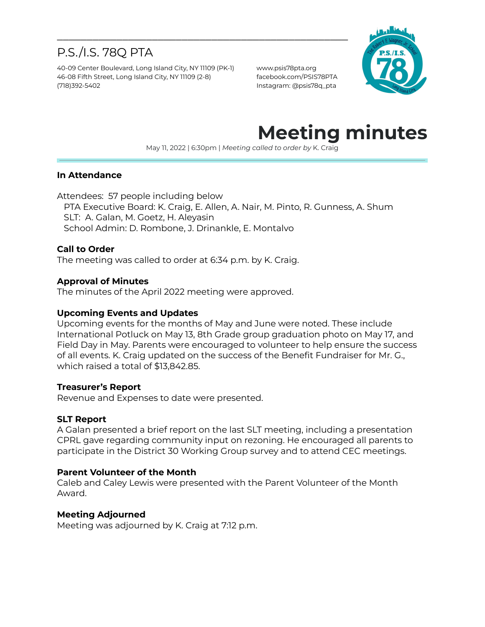# P.S./I.S. 78Q PTA

40-09 Center Boulevard, Long Island City, NY 11109 (PK-1) www.psis78pta.org 46-08 Fifth Street, Long Island City, NY 11109 (2-8) facebook.com/PSIS78PTA (718)392-5402 Instagram: @psis78q\_pta



# **Meeting minutes**

May 11, 2022 | 6:30pm | *Meeting called to order by* K. Craig

#### **In Attendance**

Attendees: 57 people including below PTA Executive Board: K. Craig, E. Allen, A. Nair, M. Pinto, R. Gunness, A. Shum SLT: A. Galan, M. Goetz, H. Aleyasin School Admin: D. Rombone, J. Drinankle, E. Montalvo

\_\_\_\_\_\_\_\_\_\_\_\_\_\_\_\_\_\_\_\_\_\_\_\_\_\_\_\_\_\_\_\_\_\_\_\_\_\_\_\_\_\_\_\_\_\_\_\_\_

#### **Call to Order**

The meeting was called to order at 6:34 p.m. by K. Craig.

#### **Approval of Minutes**

The minutes of the April 2022 meeting were approved.

#### **Upcoming Events and Updates**

Upcoming events for the months of May and June were noted. These include International Potluck on May 13, 8th Grade group graduation photo on May 17, and Field Day in May. Parents were encouraged to volunteer to help ensure the success of all events. K. Craig updated on the success of the Benefit Fundraiser for Mr. G., which raised a total of \$13,842.85.

#### **Treasurer's Report**

Revenue and Expenses to date were presented.

#### **SLT Report**

A Galan presented a brief report on the last SLT meeting, including a presentation CPRL gave regarding community input on rezoning. He encouraged all parents to participate in the District 30 Working Group survey and to attend CEC meetings.

#### **Parent Volunteer of the Month**

Caleb and Caley Lewis were presented with the Parent Volunteer of the Month Award.

#### **Meeting Adjourned**

Meeting was adjourned by K. Craig at 7:12 p.m.